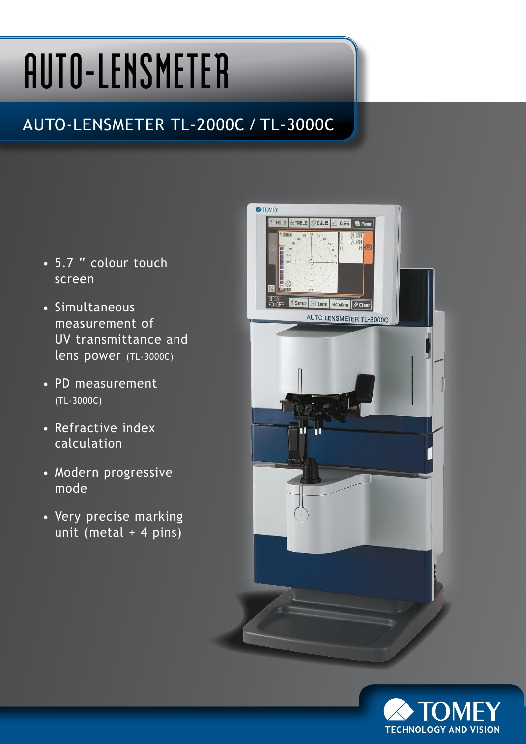# **AUTO-LENSMETER**

### AUTO-LENSMETER TL-2000C / TL-3000C

- 5.7 " colour touch screen
- Simultaneous measurement of UV transmittance and lens power (TL-3000C)
- PD measurement (TL-3000C)
- Refractive index calculation
- Modern progressive mode
- Very precise marking unit (metal + 4 pins)